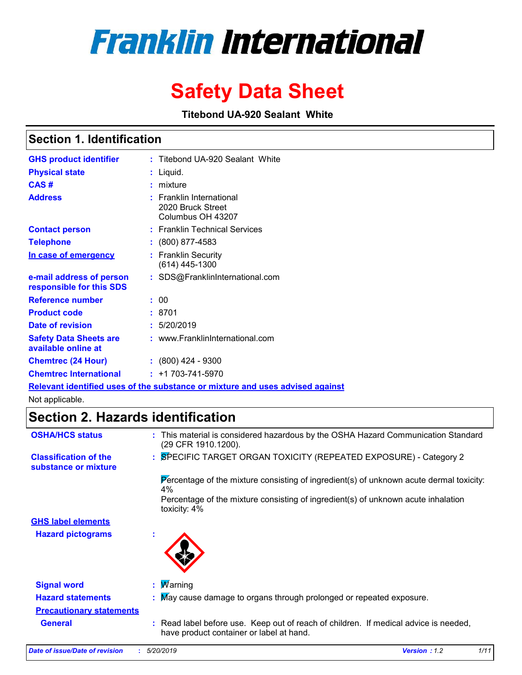# **Franklin International**

## **Safety Data Sheet**

**Titebond UA-920 Sealant White**

### **Section 1. Identification**

| <b>GHS product identifier</b>                        | : Titebond UA-920 Sealant White                                    |
|------------------------------------------------------|--------------------------------------------------------------------|
| <b>Physical state</b>                                | Liquid.                                                            |
| CAS#                                                 | mixture                                                            |
| <b>Address</b>                                       | : Franklin International<br>2020 Bruck Street<br>Columbus OH 43207 |
| <b>Contact person</b>                                | : Franklin Technical Services                                      |
| <b>Telephone</b>                                     | $: (800) 877 - 4583$                                               |
| In case of emergency                                 | <b>Franklin Security</b><br>(614) 445-1300                         |
| e-mail address of person<br>responsible for this SDS | : SDS@FranklinInternational.com                                    |
| <b>Reference number</b>                              | : 00                                                               |
| <b>Product code</b>                                  | :8701                                                              |
| Date of revision                                     | : 5/20/2019                                                        |
| <b>Safety Data Sheets are</b><br>available online at | : www.FranklinInternational.com                                    |
| <b>Chemtrec (24 Hour)</b>                            | $\div$ (800) 424 - 9300                                            |
| <b>Chemtrec International</b>                        | $: +1703 - 741 - 5970$                                             |
|                                                      |                                                                    |

**Relevant identified uses of the substance or mixture and uses advised against**

Not applicable.

### **Section 2. Hazards identification**

| <b>OSHA/HCS status</b>                               | : This material is considered hazardous by the OSHA Hazard Communication Standard<br>(29 CFR 1910.1200).                         |
|------------------------------------------------------|----------------------------------------------------------------------------------------------------------------------------------|
| <b>Classification of the</b><br>substance or mixture | : SPECIFIC TARGET ORGAN TOXICITY (REPEATED EXPOSURE) - Category 2                                                                |
|                                                      | Percentage of the mixture consisting of ingredient(s) of unknown acute dermal toxicity:<br>4%                                    |
|                                                      | Percentage of the mixture consisting of ingredient(s) of unknown acute inhalation<br>toxicity: 4%                                |
| <b>GHS label elements</b>                            |                                                                                                                                  |
| <b>Hazard pictograms</b>                             | $\mathbf{r}$                                                                                                                     |
| <b>Signal word</b>                                   | : $M$ arning                                                                                                                     |
| <b>Hazard statements</b>                             | : May cause damage to organs through prolonged or repeated exposure.                                                             |
| <b>Precautionary statements</b>                      |                                                                                                                                  |
| <b>General</b>                                       | : Read label before use. Keep out of reach of children. If medical advice is needed,<br>have product container or label at hand. |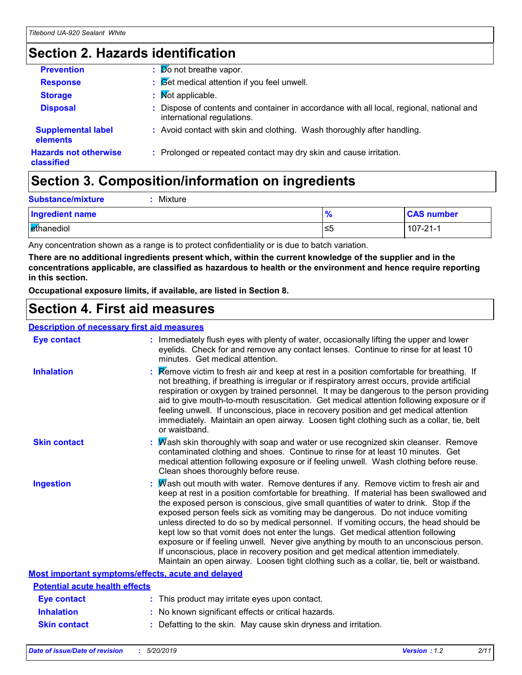### **Section 2. Hazards identification**

| <b>Prevention</b>                          | $\frac{1}{20}$ not breathe vapor.                                                                                      |
|--------------------------------------------|------------------------------------------------------------------------------------------------------------------------|
| <b>Response</b>                            | : Cet medical attention if you feel unwell.                                                                            |
| <b>Storage</b>                             | : Mot applicable.                                                                                                      |
| <b>Disposal</b>                            | : Dispose of contents and container in accordance with all local, regional, national and<br>international regulations. |
| <b>Supplemental label</b><br>elements      | : Avoid contact with skin and clothing. Wash thoroughly after handling.                                                |
| <b>Hazards not otherwise</b><br>classified | : Prolonged or repeated contact may dry skin and cause irritation.                                                     |

### **Section 3. Composition/information on ingredients**

| <b>Substance/mixture</b> | Mixture |               |                   |
|--------------------------|---------|---------------|-------------------|
| Ingredient name          |         | $\frac{9}{6}$ | <b>CAS number</b> |
| <b>E</b> thanediol       |         | ≤5            | $107 - 21 - 1$    |

Any concentration shown as a range is to protect confidentiality or is due to batch variation.

**There are no additional ingredients present which, within the current knowledge of the supplier and in the concentrations applicable, are classified as hazardous to health or the environment and hence require reporting in this section.**

**Occupational exposure limits, if available, are listed in Section 8.**

### **Section 4. First aid measures**

#### **Description of necessary first aid measures**

| <b>Eye contact</b>                                 |  | : Immediately flush eyes with plenty of water, occasionally lifting the upper and lower<br>eyelids. Check for and remove any contact lenses. Continue to rinse for at least 10<br>minutes. Get medical attention.                                                                                                                                                                                                                                                                                                                                                                                                                                                                                                                                                                                                               |  |
|----------------------------------------------------|--|---------------------------------------------------------------------------------------------------------------------------------------------------------------------------------------------------------------------------------------------------------------------------------------------------------------------------------------------------------------------------------------------------------------------------------------------------------------------------------------------------------------------------------------------------------------------------------------------------------------------------------------------------------------------------------------------------------------------------------------------------------------------------------------------------------------------------------|--|
| <b>Inhalation</b>                                  |  | Remove victim to fresh air and keep at rest in a position comfortable for breathing. If<br>not breathing, if breathing is irregular or if respiratory arrest occurs, provide artificial<br>respiration or oxygen by trained personnel. It may be dangerous to the person providing<br>aid to give mouth-to-mouth resuscitation. Get medical attention following exposure or if<br>feeling unwell. If unconscious, place in recovery position and get medical attention<br>immediately. Maintain an open airway. Loosen tight clothing such as a collar, tie, belt<br>or waistband.                                                                                                                                                                                                                                              |  |
| <b>Skin contact</b>                                |  | : Mash skin thoroughly with soap and water or use recognized skin cleanser. Remove<br>contaminated clothing and shoes. Continue to rinse for at least 10 minutes. Get<br>medical attention following exposure or if feeling unwell. Wash clothing before reuse.<br>Clean shoes thoroughly before reuse.                                                                                                                                                                                                                                                                                                                                                                                                                                                                                                                         |  |
| <b>Ingestion</b>                                   |  | : $\overline{M}$ ash out mouth with water. Remove dentures if any. Remove victim to fresh air and<br>keep at rest in a position comfortable for breathing. If material has been swallowed and<br>the exposed person is conscious, give small quantities of water to drink. Stop if the<br>exposed person feels sick as vomiting may be dangerous. Do not induce vomiting<br>unless directed to do so by medical personnel. If vomiting occurs, the head should be<br>kept low so that vomit does not enter the lungs. Get medical attention following<br>exposure or if feeling unwell. Never give anything by mouth to an unconscious person.<br>If unconscious, place in recovery position and get medical attention immediately.<br>Maintain an open airway. Loosen tight clothing such as a collar, tie, belt or waistband. |  |
| Most important symptoms/effects, acute and delayed |  |                                                                                                                                                                                                                                                                                                                                                                                                                                                                                                                                                                                                                                                                                                                                                                                                                                 |  |
| <b>Potential acute health effects</b>              |  |                                                                                                                                                                                                                                                                                                                                                                                                                                                                                                                                                                                                                                                                                                                                                                                                                                 |  |
| <b>Eye contact</b>                                 |  | : This product may irritate eyes upon contact.                                                                                                                                                                                                                                                                                                                                                                                                                                                                                                                                                                                                                                                                                                                                                                                  |  |
| <b>Inhalation</b>                                  |  | : No known significant effects or critical hazards.                                                                                                                                                                                                                                                                                                                                                                                                                                                                                                                                                                                                                                                                                                                                                                             |  |
| <b>Skin contact</b>                                |  | : Defatting to the skin. May cause skin dryness and irritation.                                                                                                                                                                                                                                                                                                                                                                                                                                                                                                                                                                                                                                                                                                                                                                 |  |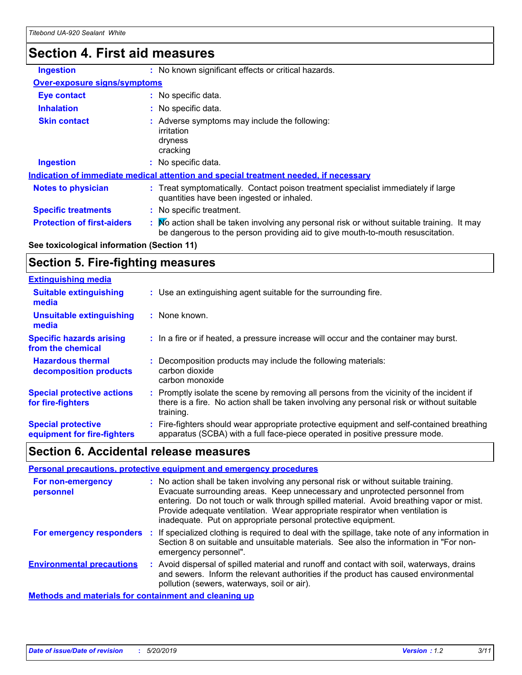### **Section 4. First aid measures**

| <b>Ingestion</b>                                                                     | : No known significant effects or critical hazards.                                                                                                                         |  |
|--------------------------------------------------------------------------------------|-----------------------------------------------------------------------------------------------------------------------------------------------------------------------------|--|
| <b>Over-exposure signs/symptoms</b>                                                  |                                                                                                                                                                             |  |
| Eye contact                                                                          | : No specific data.                                                                                                                                                         |  |
| <b>Inhalation</b>                                                                    | : No specific data.                                                                                                                                                         |  |
| <b>Skin contact</b>                                                                  | : Adverse symptoms may include the following:<br>irritation<br>dryness<br>cracking                                                                                          |  |
| <b>Ingestion</b>                                                                     | : No specific data.                                                                                                                                                         |  |
| Indication of immediate medical attention and special treatment needed, if necessary |                                                                                                                                                                             |  |
| <b>Notes to physician</b>                                                            | : Treat symptomatically. Contact poison treatment specialist immediately if large<br>quantities have been ingested or inhaled.                                              |  |
| <b>Specific treatments</b>                                                           | : No specific treatment.                                                                                                                                                    |  |
| <b>Protection of first-aiders</b>                                                    | Mo action shall be taken involving any personal risk or without suitable training. It may<br>be dangerous to the person providing aid to give mouth-to-mouth resuscitation. |  |

### **See toxicological information (Section 11)**

### **Section 5. Fire-fighting measures**

| <b>Extinguishing media</b>                               |                                                                                                                                                                                                     |
|----------------------------------------------------------|-----------------------------------------------------------------------------------------------------------------------------------------------------------------------------------------------------|
| <b>Suitable extinguishing</b><br>media                   | : Use an extinguishing agent suitable for the surrounding fire.                                                                                                                                     |
| <b>Unsuitable extinguishing</b><br>media                 | : None known.                                                                                                                                                                                       |
| <b>Specific hazards arising</b><br>from the chemical     | : In a fire or if heated, a pressure increase will occur and the container may burst.                                                                                                               |
| <b>Hazardous thermal</b><br>decomposition products       | Decomposition products may include the following materials:<br>carbon dioxide<br>carbon monoxide                                                                                                    |
| <b>Special protective actions</b><br>for fire-fighters   | : Promptly isolate the scene by removing all persons from the vicinity of the incident if<br>there is a fire. No action shall be taken involving any personal risk or without suitable<br>training. |
| <b>Special protective</b><br>equipment for fire-fighters | Fire-fighters should wear appropriate protective equipment and self-contained breathing<br>apparatus (SCBA) with a full face-piece operated in positive pressure mode.                              |

### **Section 6. Accidental release measures**

| Personal precautions, protective equipment and emergency procedures |  |                                                                                                                                                                                                                                                                                                                                                                                                                  |  |
|---------------------------------------------------------------------|--|------------------------------------------------------------------------------------------------------------------------------------------------------------------------------------------------------------------------------------------------------------------------------------------------------------------------------------------------------------------------------------------------------------------|--|
| For non-emergency<br>personnel                                      |  | : No action shall be taken involving any personal risk or without suitable training.<br>Evacuate surrounding areas. Keep unnecessary and unprotected personnel from<br>entering. Do not touch or walk through spilled material. Avoid breathing vapor or mist.<br>Provide adequate ventilation. Wear appropriate respirator when ventilation is<br>inadequate. Put on appropriate personal protective equipment. |  |
| For emergency responders :                                          |  | If specialized clothing is required to deal with the spillage, take note of any information in<br>Section 8 on suitable and unsuitable materials. See also the information in "For non-<br>emergency personnel".                                                                                                                                                                                                 |  |
| <b>Environmental precautions</b>                                    |  | : Avoid dispersal of spilled material and runoff and contact with soil, waterways, drains<br>and sewers. Inform the relevant authorities if the product has caused environmental<br>pollution (sewers, waterways, soil or air).                                                                                                                                                                                  |  |
| <b>Methods and materials for containment and cleaning up</b>        |  |                                                                                                                                                                                                                                                                                                                                                                                                                  |  |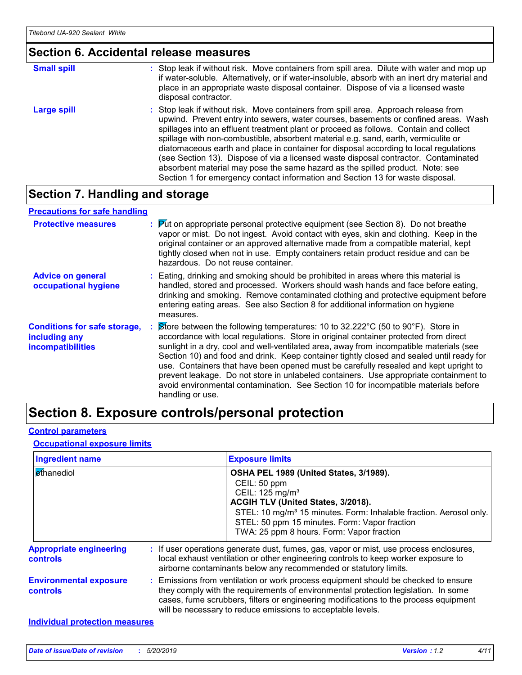### **Section 6. Accidental release measures**

| <b>Small spill</b> | : Stop leak if without risk. Move containers from spill area. Dilute with water and mop up<br>if water-soluble. Alternatively, or if water-insoluble, absorb with an inert dry material and<br>place in an appropriate waste disposal container. Dispose of via a licensed waste<br>disposal contractor.                                                                                                                                                                                                                                                                                                                                                                                                     |
|--------------------|--------------------------------------------------------------------------------------------------------------------------------------------------------------------------------------------------------------------------------------------------------------------------------------------------------------------------------------------------------------------------------------------------------------------------------------------------------------------------------------------------------------------------------------------------------------------------------------------------------------------------------------------------------------------------------------------------------------|
| Large spill        | : Stop leak if without risk. Move containers from spill area. Approach release from<br>upwind. Prevent entry into sewers, water courses, basements or confined areas. Wash<br>spillages into an effluent treatment plant or proceed as follows. Contain and collect<br>spillage with non-combustible, absorbent material e.g. sand, earth, vermiculite or<br>diatomaceous earth and place in container for disposal according to local regulations<br>(see Section 13). Dispose of via a licensed waste disposal contractor. Contaminated<br>absorbent material may pose the same hazard as the spilled product. Note: see<br>Section 1 for emergency contact information and Section 13 for waste disposal. |

### **Section 7. Handling and storage**

#### **Advice on general occupational hygiene Conditions for safe storage, including any incompatibilities** Eating, drinking and smoking should be prohibited in areas where this material is **:** handled, stored and processed. Workers should wash hands and face before eating, drinking and smoking. Remove contaminated clothing and protective equipment before entering eating areas. See also Section 8 for additional information on hygiene measures. Store between the following temperatures: 10 to 32.222°C (50 to 90°F). Store in **:** accordance with local regulations. Store in original container protected from direct sunlight in a dry, cool and well-ventilated area, away from incompatible materials (see Section 10) and food and drink. Keep container tightly closed and sealed until ready for use. Containers that have been opened must be carefully resealed and kept upright to prevent leakage. Do not store in unlabeled containers. Use appropriate containment to avoid environmental contamination. See Section 10 for incompatible materials before handling or use. **Protective measures : Put on appropriate personal protective equipment (see Section 8). Do not breathe <b>Protestian** vapor or mist. Do not ingest. Avoid contact with eyes, skin and clothing. Keep in the original container or an approved alternative made from a compatible material, kept tightly closed when not in use. Empty containers retain product residue and can be hazardous. Do not reuse container. **Precautions for safe handling**

### **Section 8. Exposure controls/personal protection**

#### **Control parameters**

#### **Occupational exposure limits**

| <b>Ingredient name</b>                            | <b>Exposure limits</b>                                                                                                                                                                                                                                                                                                          |
|---------------------------------------------------|---------------------------------------------------------------------------------------------------------------------------------------------------------------------------------------------------------------------------------------------------------------------------------------------------------------------------------|
| ethanediol                                        | OSHA PEL 1989 (United States, 3/1989).<br>CEIL: 50 ppm<br>CEIL: 125 mg/m <sup>3</sup><br>ACGIH TLV (United States, 3/2018).<br>STEL: 10 mg/m <sup>3</sup> 15 minutes. Form: Inhalable fraction. Aerosol only.<br>STEL: 50 ppm 15 minutes. Form: Vapor fraction<br>TWA: 25 ppm 8 hours. Form: Vapor fraction                     |
| <b>Appropriate engineering</b><br><b>controls</b> | : If user operations generate dust, fumes, gas, vapor or mist, use process enclosures,<br>local exhaust ventilation or other engineering controls to keep worker exposure to<br>airborne contaminants below any recommended or statutory limits.                                                                                |
| <b>Environmental exposure</b><br><b>controls</b>  | : Emissions from ventilation or work process equipment should be checked to ensure<br>they comply with the requirements of environmental protection legislation. In some<br>cases, fume scrubbers, filters or engineering modifications to the process equipment<br>will be necessary to reduce emissions to acceptable levels. |
| <b>Individual protection measures</b>             |                                                                                                                                                                                                                                                                                                                                 |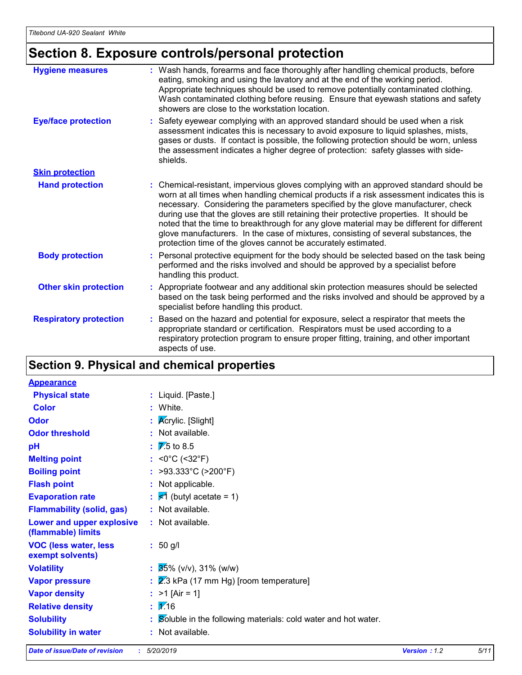### **Section 8. Exposure controls/personal protection**

| <b>Hygiene measures</b>       | : Wash hands, forearms and face thoroughly after handling chemical products, before<br>eating, smoking and using the lavatory and at the end of the working period.<br>Appropriate techniques should be used to remove potentially contaminated clothing.<br>Wash contaminated clothing before reusing. Ensure that eyewash stations and safety<br>showers are close to the workstation location.                                                                                                                                                                                                                      |
|-------------------------------|------------------------------------------------------------------------------------------------------------------------------------------------------------------------------------------------------------------------------------------------------------------------------------------------------------------------------------------------------------------------------------------------------------------------------------------------------------------------------------------------------------------------------------------------------------------------------------------------------------------------|
| <b>Eye/face protection</b>    | : Safety eyewear complying with an approved standard should be used when a risk<br>assessment indicates this is necessary to avoid exposure to liquid splashes, mists,<br>gases or dusts. If contact is possible, the following protection should be worn, unless<br>the assessment indicates a higher degree of protection: safety glasses with side-<br>shields.                                                                                                                                                                                                                                                     |
| <b>Skin protection</b>        |                                                                                                                                                                                                                                                                                                                                                                                                                                                                                                                                                                                                                        |
| <b>Hand protection</b>        | : Chemical-resistant, impervious gloves complying with an approved standard should be<br>worn at all times when handling chemical products if a risk assessment indicates this is<br>necessary. Considering the parameters specified by the glove manufacturer, check<br>during use that the gloves are still retaining their protective properties. It should be<br>noted that the time to breakthrough for any glove material may be different for different<br>glove manufacturers. In the case of mixtures, consisting of several substances, the<br>protection time of the gloves cannot be accurately estimated. |
| <b>Body protection</b>        | : Personal protective equipment for the body should be selected based on the task being<br>performed and the risks involved and should be approved by a specialist before<br>handling this product.                                                                                                                                                                                                                                                                                                                                                                                                                    |
| <b>Other skin protection</b>  | : Appropriate footwear and any additional skin protection measures should be selected<br>based on the task being performed and the risks involved and should be approved by a<br>specialist before handling this product.                                                                                                                                                                                                                                                                                                                                                                                              |
| <b>Respiratory protection</b> | : Based on the hazard and potential for exposure, select a respirator that meets the<br>appropriate standard or certification. Respirators must be used according to a<br>respiratory protection program to ensure proper fitting, training, and other important<br>aspects of use.                                                                                                                                                                                                                                                                                                                                    |

### **Section 9. Physical and chemical properties**

| <b>Appearance</b>                                 |                                                               |
|---------------------------------------------------|---------------------------------------------------------------|
| <b>Physical state</b>                             | : Liquid. [Paste.]                                            |
| <b>Color</b>                                      | : White.                                                      |
| Odor                                              | : Acrylic. [Slight]                                           |
| <b>Odor threshold</b>                             | : Not available.                                              |
| pH                                                | $\frac{1}{2}$ 7.5 to 8.5                                      |
| <b>Melting point</b>                              | : <0°C (<32°F)                                                |
| <b>Boiling point</b>                              | : >93.333°C (>200°F)                                          |
| <b>Flash point</b>                                | : Not applicable.                                             |
| <b>Evaporation rate</b>                           | $\frac{1}{5}$ $\sqrt{1}$ (butyl acetate = 1)                  |
| <b>Flammability (solid, gas)</b>                  | : Not available.                                              |
| Lower and upper explosive<br>(flammable) limits   | : Not available.                                              |
| <b>VOC (less water, less)</b><br>exempt solvents) | $: 50$ g/l                                                    |
| <b>Volatility</b>                                 | $\frac{1}{25\%}$ (v/v), 31% (w/w)                             |
| <b>Vapor pressure</b>                             | $\frac{2}{3}$ kPa (17 mm Hg) [room temperature]               |
| <b>Vapor density</b>                              | : $>1$ [Air = 1]                                              |
| <b>Relative density</b>                           | $\mathbf{1} \mathbf{2}$ 16                                    |
| <b>Solubility</b>                                 | Soluble in the following materials: cold water and hot water. |
| <b>Solubility in water</b>                        | : Not available.                                              |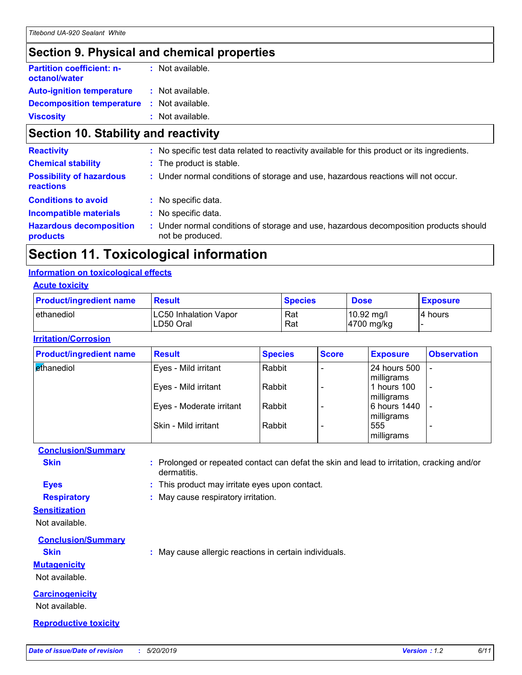### **Section 9. Physical and chemical properties**

| <b>Partition coefficient: n-</b><br>octanol/water | : Not available. |  |
|---------------------------------------------------|------------------|--|
| <b>Auto-ignition temperature</b>                  | : Not available. |  |
| <b>Decomposition temperature</b>                  | : Not available. |  |
| <b>Viscosity</b>                                  | : Not available. |  |

### **Section 10. Stability and reactivity**

| : No specific test data related to reactivity available for this product or its ingredients.                  |
|---------------------------------------------------------------------------------------------------------------|
| : The product is stable.                                                                                      |
| : Under normal conditions of storage and use, hazardous reactions will not occur.                             |
| : No specific data.                                                                                           |
| : No specific data.                                                                                           |
| Under normal conditions of storage and use, hazardous decomposition products should<br>t.<br>not be produced. |
|                                                                                                               |

### **Section 11. Toxicological information**

#### **Information on toxicological effects**

#### **Acute toxicity**

| <b>Product/ingredient name</b> | <b>Result</b>                             | <b>Species</b> | <b>Dose</b>                        | <b>Exposure</b> |
|--------------------------------|-------------------------------------------|----------------|------------------------------------|-----------------|
| <b>l</b> ethanediol            | <b>LC50 Inhalation Vapor</b><br>LD50 Oral | Rat<br>Rat     | $10.92 \text{ mg/l}$<br>4700 mg/kg | 4 hours         |

#### **Irritation/Corrosion**

| <b>Product/ingredient name</b> | <b>Result</b>            | <b>Species</b> | <b>Score</b>             | <b>Exposure</b>                   | <b>Observation</b>       |
|--------------------------------|--------------------------|----------------|--------------------------|-----------------------------------|--------------------------|
| ethanediol                     | Eyes - Mild irritant     | Rabbit         | $\overline{\phantom{0}}$ | <b>24 hours 500</b><br>milligrams | $\sim$                   |
|                                | Eyes - Mild irritant     | Rabbit         |                          | 1 hours 100<br>milligrams         | $\overline{\phantom{a}}$ |
|                                | Eyes - Moderate irritant | Rabbit         | $\overline{\phantom{0}}$ | 6 hours 1440<br>milligrams        |                          |
|                                | Skin - Mild irritant     | Rabbit         |                          | 555<br>milligrams                 | ۰                        |

### **Conclusion/Summary**

**Skin :** Prolonged or repeated contact can defat the skin and lead to irritation, cracking and/or dermatitis.

**Eyes :** This product may irritate eyes upon contact.

**Respiratory :** May cause respiratory irritation.

#### **Sensitization**

Not available.

### **Conclusion/Summary**

**Skin :** May cause allergic reactions in certain individuals.

#### **Mutagenicity**

Not available.

#### **Carcinogenicity**

Not available.

#### **Reproductive toxicity**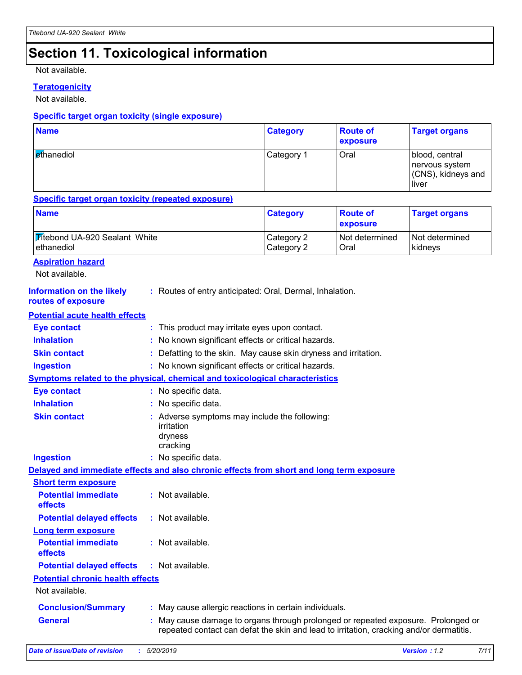### **Section 11. Toxicological information**

Not available.

### **Teratogenicity**

Not available.

### **Specific target organ toxicity (single exposure)**

| <b>Name</b>                     | <b>Category</b> | <b>Route of</b><br><b>exposure</b> | <b>Target organs</b>                                            |
|---------------------------------|-----------------|------------------------------------|-----------------------------------------------------------------|
| <b><i><u>et</u>hanediol</i></b> | Category 1      | Oral                               | blood, central<br>nervous system<br>(CNS), kidneys and<br>liver |

#### **Specific target organ toxicity (repeated exposure)**

| <b>Name</b>                          | <b>Category</b> | <b>Route of</b><br><b>exposure</b> | <b>Target organs</b> |
|--------------------------------------|-----------------|------------------------------------|----------------------|
| <b>Titebond UA-920 Sealant White</b> | Category 2      | Not determined                     | Not determined       |
| ethanediol                           | Category 2      | Oral                               | kidnevs              |

Not available.

| <b>Information on the likely</b><br>routes of exposure | : Routes of entry anticipated: Oral, Dermal, Inhalation.                                                                                                                   |
|--------------------------------------------------------|----------------------------------------------------------------------------------------------------------------------------------------------------------------------------|
| <b>Potential acute health effects</b>                  |                                                                                                                                                                            |
| <b>Eye contact</b>                                     | : This product may irritate eyes upon contact.                                                                                                                             |
| <b>Inhalation</b>                                      | : No known significant effects or critical hazards.                                                                                                                        |
| <b>Skin contact</b>                                    | Defatting to the skin. May cause skin dryness and irritation.                                                                                                              |
| <b>Ingestion</b>                                       | : No known significant effects or critical hazards.                                                                                                                        |
|                                                        | Symptoms related to the physical, chemical and toxicological characteristics                                                                                               |
| <b>Eye contact</b>                                     | : No specific data.                                                                                                                                                        |
| <b>Inhalation</b>                                      | : No specific data.                                                                                                                                                        |
| <b>Skin contact</b>                                    | : Adverse symptoms may include the following:<br>irritation<br>dryness<br>cracking                                                                                         |
| <b>Ingestion</b>                                       | : No specific data.                                                                                                                                                        |
|                                                        | Delayed and immediate effects and also chronic effects from short and long term exposure                                                                                   |
| <b>Short term exposure</b>                             |                                                                                                                                                                            |
| <b>Potential immediate</b><br>effects                  | : Not available.                                                                                                                                                           |
| <b>Potential delayed effects</b>                       | : Not available.                                                                                                                                                           |
| <b>Long term exposure</b>                              |                                                                                                                                                                            |
| <b>Potential immediate</b><br>effects                  | : Not available.                                                                                                                                                           |
| <b>Potential delayed effects</b>                       | : Not available.                                                                                                                                                           |
| <b>Potential chronic health effects</b>                |                                                                                                                                                                            |
| Not available.                                         |                                                                                                                                                                            |
| <b>Conclusion/Summary</b>                              | : May cause allergic reactions in certain individuals.                                                                                                                     |
| <b>General</b>                                         | May cause damage to organs through prolonged or repeated exposure. Prolonged or<br>repeated contact can defat the skin and lead to irritation, cracking and/or dermatitis. |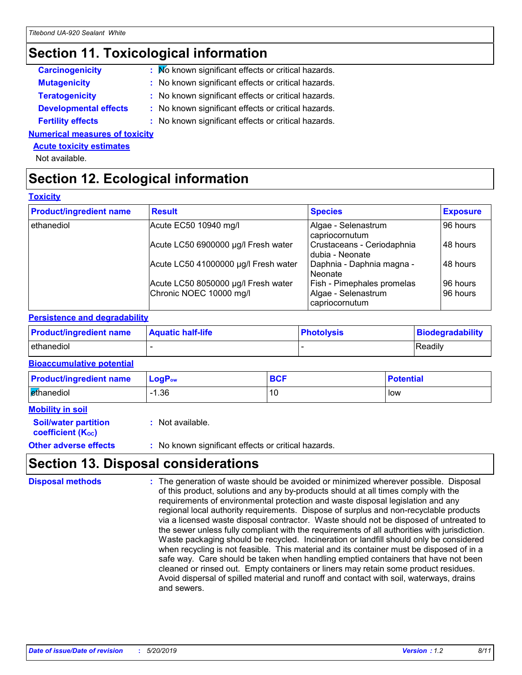### **Section 11. Toxicological information**

| <b>Carcinogenicity</b>       | : Mo known significant effects or critical hazards. |
|------------------------------|-----------------------------------------------------|
| <b>Mutagenicity</b>          | : No known significant effects or critical hazards. |
| <b>Teratogenicity</b>        | : No known significant effects or critical hazards. |
| <b>Developmental effects</b> | : No known significant effects or critical hazards. |
| <b>Fertility effects</b>     | : No known significant effects or critical hazards. |

**Numerical measures of toxicity**

#### **Acute toxicity estimates**

Not available.

### **Section 12. Ecological information**

#### **Toxicity**

| <b>Product/ingredient name</b> | <b>Result</b>                        | <b>Species</b>                                | <b>Exposure</b> |
|--------------------------------|--------------------------------------|-----------------------------------------------|-----------------|
| ethanediol                     | Acute EC50 10940 mg/l                | Algae - Selenastrum<br>capriocornutum         | 96 hours        |
|                                | Acute LC50 6900000 µg/l Fresh water  | Crustaceans - Ceriodaphnia<br>dubia - Neonate | 48 hours        |
|                                | Acute LC50 41000000 µg/l Fresh water | Daphnia - Daphnia magna -<br>l Neonate        | 48 hours        |
|                                | Acute LC50 8050000 µg/l Fresh water  | <b>Fish - Pimephales promelas</b>             | 96 hours        |
|                                | Chronic NOEC 10000 mg/l              | Algae - Selenastrum<br>capriocornutum         | 96 hours        |

#### **Persistence and degradability**

| <b>Product/ingredient name</b> | <b>Aquatic half-life</b> | <b>Photolysis</b> | Biodegradability |
|--------------------------------|--------------------------|-------------------|------------------|
| ethanediol                     |                          |                   | Readily          |

### **Bioaccumulative potential**

| <b>Product/ingredient name</b> | $LogP_{ow}$ | <b>BCF</b> | <b>Potential</b> |
|--------------------------------|-------------|------------|------------------|
| ethanediol                     | l.36        | 10         | low              |

| <b>Mobility in soil</b> |                             |
|-------------------------|-----------------------------|
|                         | <b>Soil/water partition</b> |

**coefficient (Koc)** 

**:** Not available.

**Other adverse effects** : No known significant effects or critical hazards.

### **Section 13. Disposal considerations**

The generation of waste should be avoided or minimized wherever possible. Disposal of this product, solutions and any by-products should at all times comply with the requirements of environmental protection and waste disposal legislation and any regional local authority requirements. Dispose of surplus and non-recyclable products via a licensed waste disposal contractor. Waste should not be disposed of untreated to the sewer unless fully compliant with the requirements of all authorities with jurisdiction. Waste packaging should be recycled. Incineration or landfill should only be considered when recycling is not feasible. This material and its container must be disposed of in a safe way. Care should be taken when handling emptied containers that have not been cleaned or rinsed out. Empty containers or liners may retain some product residues. Avoid dispersal of spilled material and runoff and contact with soil, waterways, drains and sewers. **Disposal methods :**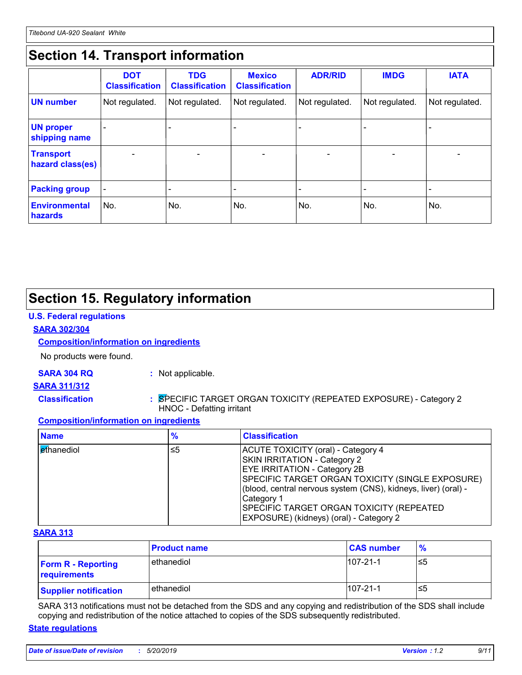### **Section 14. Transport information**

|                                      | <b>DOT</b><br><b>Classification</b> | <b>TDG</b><br><b>Classification</b> | <b>Mexico</b><br><b>Classification</b> | <b>ADR/RID</b>           | <b>IMDG</b>              | <b>IATA</b>    |
|--------------------------------------|-------------------------------------|-------------------------------------|----------------------------------------|--------------------------|--------------------------|----------------|
| <b>UN number</b>                     | Not regulated.                      | Not regulated.                      | Not regulated.                         | Not regulated.           | Not regulated.           | Not regulated. |
| <b>UN proper</b><br>shipping name    |                                     |                                     |                                        |                          |                          |                |
| <b>Transport</b><br>hazard class(es) |                                     |                                     |                                        | $\overline{\phantom{0}}$ | $\overline{\phantom{0}}$ | $\blacksquare$ |
| <b>Packing group</b>                 | $\overline{\phantom{a}}$            |                                     |                                        |                          |                          |                |
| <b>Environmental</b><br>hazards      | No.                                 | No.                                 | No.                                    | No.                      | No.                      | No.            |

### **Section 15. Regulatory information**

### **U.S. Federal regulations**

### **SARA 302/304**

### **Composition/information on ingredients**

No products were found.

**SARA 304 RQ :** Not applicable.

### **SARA 311/312**

**Classification :** SPECIFIC TARGET ORGAN TOXICITY (REPEATED EXPOSURE) - Category 2 HNOC - Defatting irritant

#### **Composition/information on ingredients**

| <b>Name</b> | %  | <b>Classification</b>                                                                                                                                                                                                                                                                                                                        |
|-------------|----|----------------------------------------------------------------------------------------------------------------------------------------------------------------------------------------------------------------------------------------------------------------------------------------------------------------------------------------------|
| ethanediol  | ≤5 | ACUTE TOXICITY (oral) - Category 4<br>SKIN IRRITATION - Category 2<br><b>EYE IRRITATION - Category 2B</b><br>SPECIFIC TARGET ORGAN TOXICITY (SINGLE EXPOSURE)<br>(blood, central nervous system (CNS), kidneys, liver) (oral) -<br>Category 1<br><b>SPECIFIC TARGET ORGAN TOXICITY (REPEATED)</b><br>EXPOSURE) (kidneys) (oral) - Category 2 |

#### **SARA 313**

|                                           | <b>Product name</b> | <b>CAS number</b> | $\frac{9}{6}$ |
|-------------------------------------------|---------------------|-------------------|---------------|
| <b>Form R - Reporting</b><br>requirements | l ethanediol        | $107 - 21 - 1$    | ≤5            |
| <b>Supplier notification</b>              | ethanediol          | $107 - 21 - 1$    | ≤5            |

SARA 313 notifications must not be detached from the SDS and any copying and redistribution of the SDS shall include copying and redistribution of the notice attached to copies of the SDS subsequently redistributed.

#### **State regulations**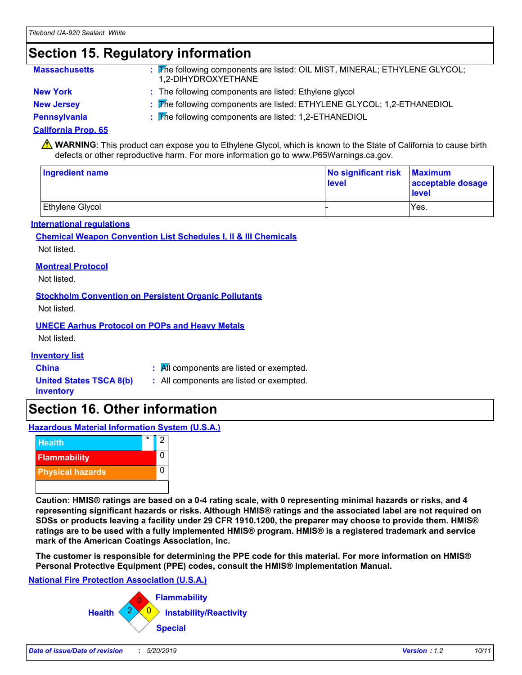### **Section 15. Regulatory information**

| <b>Massachusetts</b> | : The following components are listed: OIL MIST, MINERAL; ETHYLENE GLYCOL;<br>1.2-DIHYDROXYETHANE |
|----------------------|---------------------------------------------------------------------------------------------------|
| <b>New York</b>      | : The following components are listed: Ethylene glycol                                            |
| <b>New Jersey</b>    | : The following components are listed: ETHYLENE GLYCOL; 1,2-ETHANEDIOL                            |

**Pennsylvania :** The following components are listed: 1,2-ETHANEDIOL

### **California Prop. 65**

**A** WARNING: This product can expose you to Ethylene Glycol, which is known to the State of California to cause birth defects or other reproductive harm. For more information go to www.P65Warnings.ca.gov.

| <b>Ingredient name</b> | No significant risk Maximum<br>level | acceptable dosage<br><b>level</b> |  |
|------------------------|--------------------------------------|-----------------------------------|--|
| Ethylene Glycol        |                                      | Yes.                              |  |

### **International regulations**

### **Chemical Weapon Convention List Schedules I, II & III Chemicals** Not listed.

### **Montreal Protocol**

Not listed.

### **Stockholm Convention on Persistent Organic Pollutants**

Not listed.

### **UNECE Aarhus Protocol on POPs and Heavy Metals**

Not listed.

#### **Inventory list**

**United States TSCA 8(b)**

- **China :** All components are listed or exempted.
- **inventory**
- **:** All components are listed or exempted.

### **Section 16. Other information**

**Hazardous Material Information System (U.S.A.)**



**Caution: HMIS® ratings are based on a 0-4 rating scale, with 0 representing minimal hazards or risks, and 4 representing significant hazards or risks. Although HMIS® ratings and the associated label are not required on SDSs or products leaving a facility under 29 CFR 1910.1200, the preparer may choose to provide them. HMIS® ratings are to be used with a fully implemented HMIS® program. HMIS® is a registered trademark and service mark of the American Coatings Association, Inc.**

**The customer is responsible for determining the PPE code for this material. For more information on HMIS® Personal Protective Equipment (PPE) codes, consult the HMIS® Implementation Manual.**

### **National Fire Protection Association (U.S.A.)**